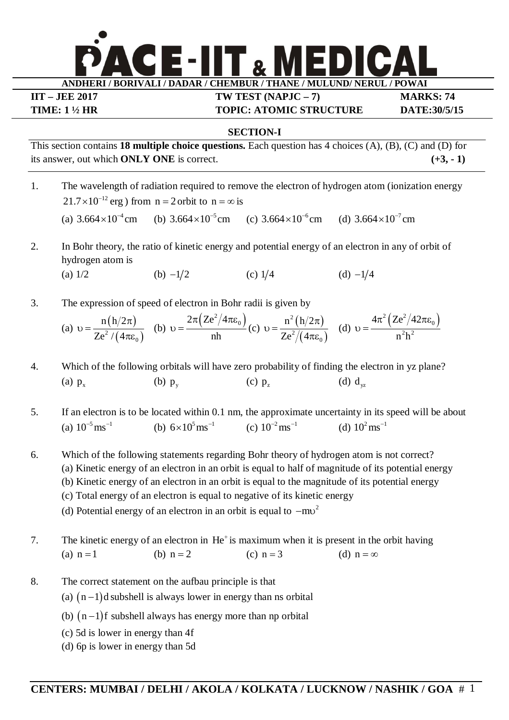

**IIT – JEE 2017 TW TEST (NAPJC – 7) MARKS: 74 TIME: 1 ½ HR TOPIC: ATOMIC STRUCTURE DATE:30/5/15**

## **SECTION-I**

This section contains **18 multiple choice questions.** Each question has 4 choices (A), (B), (C) and (D) for its answer, out which **ONLY ONE** is correct.  $(+3, -1)$ 

- 1. The wavelength of radiation required to remove the electron of hydrogen atom (ionization energy  $21.7 \times 10^{-12}$  erg) from  $n = 2$  orbit to  $n = \infty$  is (a)  $3.664 \times 10^{-4}$  cm  $\times 10^{-4}$  cm (b) 3.664 $\times 10^{-5}$  cm (c) 3.664 $\times 10^{-6}$  cm (d) 3.664 $\times 10^{-7}$  cm
- 2. In Bohr theory, the ratio of kinetic energy and potential energy of an electron in any of orbit of hydrogen atom is
	- (a)  $1/2$  (b)  $-1/2$  (c)  $1/4$  (d)  $-1/4$
- 3. The expression of speed of electron in Bohr radii is given by

(a) 
$$
v = {n(h/2\pi) \over Ze^2/(4\pi\varepsilon_0)}
$$
 (b)  $v = {2\pi (Ze^2/4\pi\varepsilon_0) \over nh}$  (c)  $v = {n^2(h/2\pi) \over Ze^2/(4\pi\varepsilon_0)}$  (d)  $v = {4\pi^2 (Ze^2/42\pi\varepsilon_0) \over n^2h^2}$ 

- 4. Which of the following orbitals will have zero probability of finding the electron in yz plane? (a)  $p_x$  $p_x$  (b)  $p_y$  $(c)$   $p_{\tau}$  $p_z$  (d)  $d_{yz}$
- 5. If an electron is to be located within 0.1 nm, the approximate uncertainty in its speed will be about (a)  $10^{-5} \text{ ms}^{-1}$  (b)  $6 \times 10^{5} \text{ ms}^{-1}$ (c)  $10^{-2} \text{ ms}^{-1}$  (d)  $10^{2} \text{ ms}^{-1}$
- 6. Which of the following statements regarding Bohr theory of hydrogen atom is not correct?
	- (a) Kinetic energy of an electron in an orbit is equal to half of magnitude of its potential energy
		- (b) Kinetic energy of an electron in an orbit is equal to the magnitude of its potential energy
		- (c) Total energy of an electron is equal to negative of its kinetic energy
		- (d) Potential energy of an electron in an orbit is equal to  $-mv<sup>2</sup>$
- 7. The kinetic energy of an electron in He<sup>+</sup> is maximum when it is present in the orbit having (a)  $n = 1$  (b)  $n = 2$  (c)  $n = 3$  (d)  $n = \infty$
- 8. The correct statement on the aufbau principle is that
	- (a)  $(n-1)d$  subshell is always lower in energy than ns orbital
	- (b)  $(n-1)f$  subshell always has energy more than np orbital
	- (c) 5d is lower in energy than 4f
	- (d) 6p is lower in energy than 5d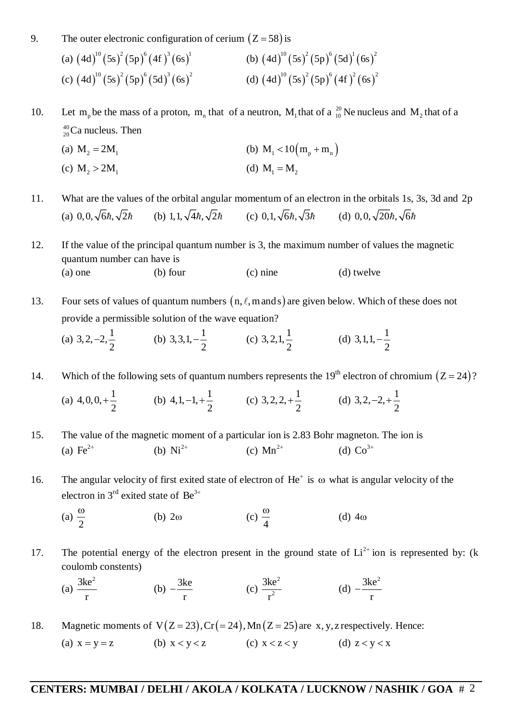9. The outer electronic configuration of cerium  $(Z = 58)$  is

(a) 
$$
(4d)^{10} (5s)^2 (5p)^6 (4f)^3 (6s)^1
$$
  
\n(b)  $(4d)^{10} (5s)^2 (5p)^6 (5d)^1 (6s)^2$   
\n(c)  $(4d)^{10} (5s)^2 (5p)^6 (5d)^3 (6s)^2$   
\n(d)  $(4d)^{10} (5s)^2 (5p)^6 (4f)^2 (6s)^2$ 

10. Let m<sub>p</sub> be the mass of a proton, m<sub>n</sub> that of a neutron, M<sub>1</sub> that of a  $^{20}_{10}$  Ne nucleus and M<sub>2</sub> that of a  $_{20}^{40}$ Ca nucleus. Then

(a) 
$$
M_2 = 2M_1
$$
   
 (b)  $M_1 < 10 \left( m_p + m_n \right)$ 

(c) 
$$
M_2 > 2M_1
$$
 (d)  $M_1 = M_2$ 

11. What are the values of the orbital angular momentum of an electron in the orbitals 1s, 3s, 3d and 2p (a) 0,0,  $\sqrt{6}\hbar$ ,  $\sqrt{2}\hbar$  (b) 1,1,  $\sqrt{4}\hbar$ ,  $\sqrt{2}\hbar$  (c) 0,1,  $\sqrt{6}\hbar$ ,  $\sqrt{3}\hbar$  (d) 0,0,  $\sqrt{20}\hbar$ ,  $\sqrt{6}\hbar$ 

12. If the value of the principal quantum number is 3, the maximum number of values the magnetic quantum number can have is (a) one (b) four (c) nine (d) twelve

13. Four sets of values of quantum numbers  $(n, \ell, m \text{ and } s)$  are given below. Which of these does not provide a permissible solution of the wave equation?

(a) 3,2,-2,
$$
\frac{1}{2}
$$
 (b) 3,3,1,- $\frac{1}{2}$  (c) 3,2,1, $\frac{1}{2}$  (d) 3,1,1,- $\frac{1}{2}$ 

14. Which of the following sets of quantum numbers represents the 19<sup>th</sup> electron of chromium  $(Z = 24)$ ?

(a)  $4,0,0,+\frac{1}{2}$ 2  $+\frac{1}{2}$  (b) 4,1,-1,+ $\frac{1}{2}$ 2  $-1, +\frac{1}{2}$  (c) 3, 2, 2,  $+\frac{1}{2}$ 2  $+\frac{1}{2}$  (d) 3,2,-2,+ $\frac{1}{2}$ 2  $-2, +\frac{1}{2}$ 

15. The value of the magnetic moment of a particular ion is 2.83 Bohr magneton. The ion is (a)  $Fe^{2+}$ (b)  $Ni^{2+}$ (c)  $Mn^{2+}$ (d)  $Co^{3+}$ 

- 16. The angular velocity of first exited state of electron of  $He^+$  is  $\omega$  what is angular velocity of the electron in  $3^{rd}$  exited state of  $Be^{3+}$ 
	- (a) 2  $\omega$ (b)  $2\omega$ 4  $\omega$ (d)  $4\omega$
- 17. The potential energy of the electron present in the ground state of  $Li^{2+}$  ion is represented by: (k coulomb constents)

(a)  $3ke^2$ r (b)  $-\frac{3ke}{2}$ r  $-\frac{5\pi c}{c}$  (c) 2 2 3ke r (d)  $3ke^2$ r <sup>-</sup>

18. Magnetic moments of  $V(Z = 23)$ ,  $Cr(= 24)$ ,  $Mn(Z = 25)$  are x, y, z respectively. Hence: (a)  $x = y = z$  (b)  $x < y < z$  (c)  $x < z < y$  (d)  $z < y < x$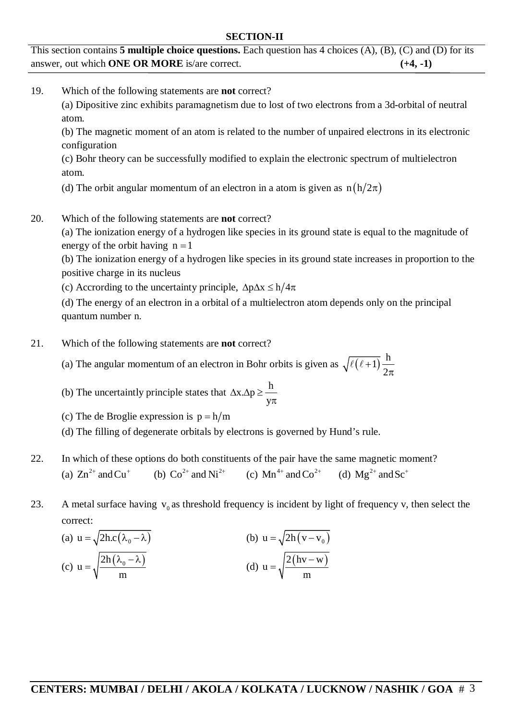## **SECTION-II**

This section contains **5 multiple choice questions.** Each question has 4 choices (A), (B), (C) and (D) for its answer, out which **ONE OR MORE** is/are correct. **(+4, -1)**

19. Which of the following statements are **not** correct?

(a) Dipositive zinc exhibits paramagnetism due to lost of two electrons from a 3d-orbital of neutral atom.

(b) The magnetic moment of an atom is related to the number of unpaired electrons in its electronic configuration

(c) Bohr theory can be successfully modified to explain the electronic spectrum of multielectron atom.

(d) The orbit angular momentum of an electron in a atom is given as  $n(h/2\pi)$ 

20. Which of the following statements are **not** correct?

(a) The ionization energy of a hydrogen like species in its ground state is equal to the magnitude of energy of the orbit having  $n = 1$ 

(b) The ionization energy of a hydrogen like species in its ground state increases in proportion to the positive charge in its nucleus

(c) Accrording to the uncertainty principle,  $\Delta p \Delta x \le h/4\pi$ 

(d) The energy of an electron in a orbital of a multielectron atom depends only on the principal quantum number n.

- 21. Which of the following statements are **not** correct?
	- (a) The angular momentum of an electron in Bohr orbits is given as  $\sqrt{\ell(\ell+1)} \frac{h}{2}$ 2  $+$  $\pi$  $\ell$ ( $\ell$ +
	- (b) The uncertaintly principle states that  $\Delta x.\Delta p \geq \frac{h}{2}$ y  $\Delta x \Delta p \ge \pi$
	- (c) The de Broglie expression is  $p = h/m$
	- (d) The filling of degenerate orbitals by electrons is governed by Hund's rule.
- 22. In which of these options do both constituents of the pair have the same magnetic moment? (a)  $\text{Zn}^{2+}$  and  $\text{Cu}^+$  (b)  $\text{Co}^{2+}$  and  $\text{Ni}^{2+}$  (c)  $\text{Mn}^{4+}$  and  $\text{Co}^{2+}$  (d)  $\text{Mg}^{2+}$  and  $\text{Sc}^+$
- 23. A metal surface having  $v_0$  as threshold frequency is incident by light of frequency v, then select the correct:

(a) 
$$
u = \sqrt{2hc(\lambda_0 - \lambda)}
$$
  
\n(b)  $u = \sqrt{2h(v - v_0)}$   
\n(c)  $u = \sqrt{\frac{2h(\lambda_0 - \lambda)}{m}}$   
\n(d)  $u = \sqrt{\frac{2(hv - w)}{m}}$